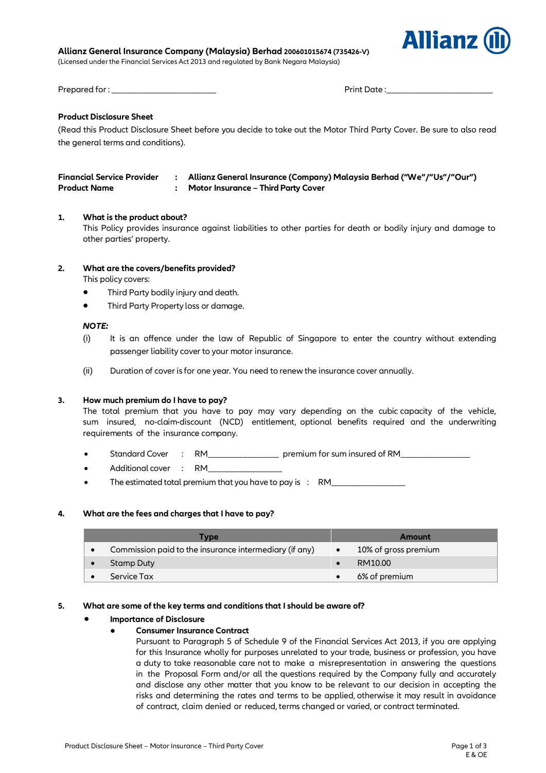#### **Allianz General Insurance Company (Malaysia) Berhad 200601015674 (735426-V)**

(Licensed under the Financial Services Act 2013 and regulated by Bank Negara Malaysia)



Prepared for : \_\_\_\_\_\_\_\_\_\_\_\_\_\_\_\_\_\_\_\_\_\_\_\_ Print Date : \_\_\_\_\_\_\_\_\_\_\_\_\_\_\_\_\_\_\_\_\_\_\_\_

# **Product Disclosure Sheet**

(Read this Product Disclosure Sheet before you decide to take out the Motor Third Party Cover. Be sure to also read the general terms and conditions).

| Financial Service Provider | Allianz General Insurance (Company) Malaysia Berhad ("We"/"Us"/"Our") |
|----------------------------|-----------------------------------------------------------------------|
| <b>Product Name</b>        | Motor Insurance – Third Party Cover                                   |

### **1. What is the product about?**

This Policy provides insurance against liabilities to other parties for death or bodily injury and damage to other parties' property.

### **2. What are the covers/benefits provided?**

This policy covers:

- Third Party bodily injury and death.
- Third Party Property loss or damage.

#### *NOTE:*

- (i) It is an offence under the law of Republic of Singapore to enter the country without extending passenger liability cover to your motor insurance.
- (ii) Duration of cover is for one year. You need to renew the insurance cover annually.

#### **3. How much premium do I have to pay?**

The total premium that you have to pay may vary depending on the cubic capacity of the vehicle, sum insured, no-claim-discount (NCD) entitlement, optional benefits required and the underwriting requirements of the insurance company.

- Standard Cover : RM component premium for sum insured of RM
- Additional cover : RM
- The estimated total premium that you have to pay is : RM\_\_\_\_\_\_\_\_\_\_\_\_\_\_\_\_\_

## **4. What are the fees and charges that I have to pay?**

| <b>Type</b> |                                                        |  | <b>Amount</b>        |  |  |
|-------------|--------------------------------------------------------|--|----------------------|--|--|
|             | Commission paid to the insurance intermediary (if any) |  | 10% of gross premium |  |  |
|             | Stamp Duty                                             |  | RM10.00              |  |  |
|             | Service Tax                                            |  | 6% of premium        |  |  |

#### **5. What are some of the key terms and conditions that I should be aware of?**

#### **Importance of Disclosure**

## ● **Consumer Insurance Contract**

Pursuant to Paragraph 5 of Schedule 9 of the Financial Services Act 2013, if you are applying for this Insurance wholly for purposes unrelated to your trade, business or profession, you have a duty to take reasonable care not to make a misrepresentation in answering the questions in the Proposal Form and/or all the questions required by the Company fully and accurately and disclose any other matter that you know to be relevant to our decision in accepting the risks and determining the rates and terms to be applied, otherwise it may result in avoidance of contract, claim denied or reduced, terms changed or varied, or contract terminated.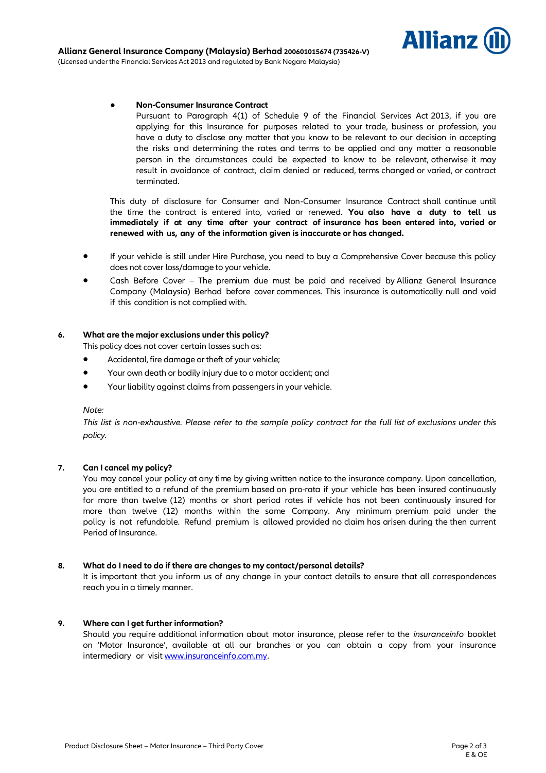

### ● **Non-Consumer Insurance Contract**

Pursuant to Paragraph 4(1) of Schedule 9 of the Financial Services Act 2013, if you are applying for this Insurance for purposes related to your trade, business or profession, you have a duty to disclose any matter that you know to be relevant to our decision in accepting the risks and determining the rates and terms to be applied and any matter a reasonable person in the circumstances could be expected to know to be relevant, otherwise it may result in avoidance of contract, claim denied or reduced, terms changed or varied, or contract terminated.

This duty of disclosure for Consumer and Non-Consumer Insurance Contract shall continue until the time the contract is entered into, varied or renewed. **You also have a duty to tell us immediately if at any time after your contract of insurance has been entered into, varied or renewed with us, any of the information given is inaccurate or has changed.**

- If your vehicle is still under Hire Purchase, you need to buy a Comprehensive Cover because this policy does not cover loss/damage to your vehicle.
- Cash Before Cover The premium due must be paid and received by Allianz General Insurance Company (Malaysia) Berhad before cover commences. This insurance is automatically null and void if this condition is not complied with.

## **6. What are the major exclusions under this policy?**

This policy does not cover certain losses such as:

- Accidental, fire damage or theft of your vehicle;
- Your own death or bodily injury due to a motor accident; and
- Your liability against claims from passengers in your vehicle.

#### *Note:*

*This list is non-exhaustive. Please refer to the sample policy contract for the full list of exclusions under this policy.*

## **7. Can I cancel my policy?**

You may cancel your policy at any time by giving written notice to the insurance company. Upon cancellation, you are entitled to a refund of the premium based on pro-rata if your vehicle has been insured continuously for more than twelve (12) months or short period rates if vehicle has not been continuously insured for more than twelve (12) months within the same Company. Any minimum premium paid under the policy is not refundable. Refund premium is allowed provided no claim has arisen during the then current Period of Insurance.

#### **8. What do I need to do if there are changes to my contact/personal details?**

It is important that you inform us of any change in your contact details to ensure that all correspondences reach you in a timely manner.

## **9. Where can I get further information?**

Should you require additional information about motor insurance, please refer to the *insuranceinfo* booklet on 'Motor Insurance', available at all our branches or you can obtain a copy from your insurance intermediary or visi[t www.insuranceinfo.com.my.](http://www.insuranceinfo.com.my/)